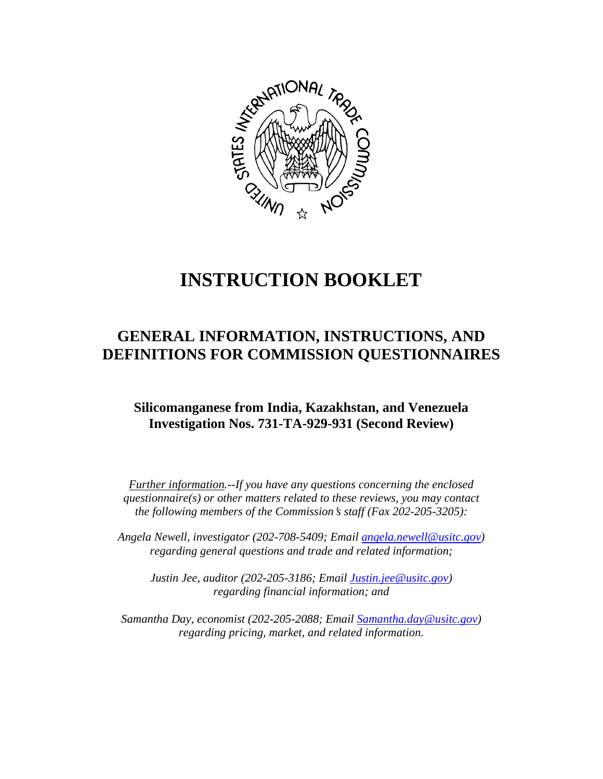

# **INSTRUCTION BOOKLET**

### **GENERAL INFORMATION, INSTRUCTIONS, AND DEFINITIONS FOR COMMISSION QUESTIONNAIRES**

### **Silicomanganese from India, Kazakhstan, and Venezuela Investigation Nos. 731-TA-929-931 (Second Review)**

*Further information.--If you have any questions concerning the enclosed questionnaire(s) or other matters related to these reviews, you may contact the following members of the Commission's staff (Fax 202-205-3205):* 

 *Angela Newell, investigator (202-708-5409; Email angela.newell@usitc.gov) regarding general questions and trade and related information;* 

 *Justin Jee, auditor (202-205-3186; Email Justin.jee@usitc.gov) regarding financial information; and* 

 *Samantha Day, economist (202-205-2088; Email Samantha.day@usitc.gov) regarding pricing, market, and related information.*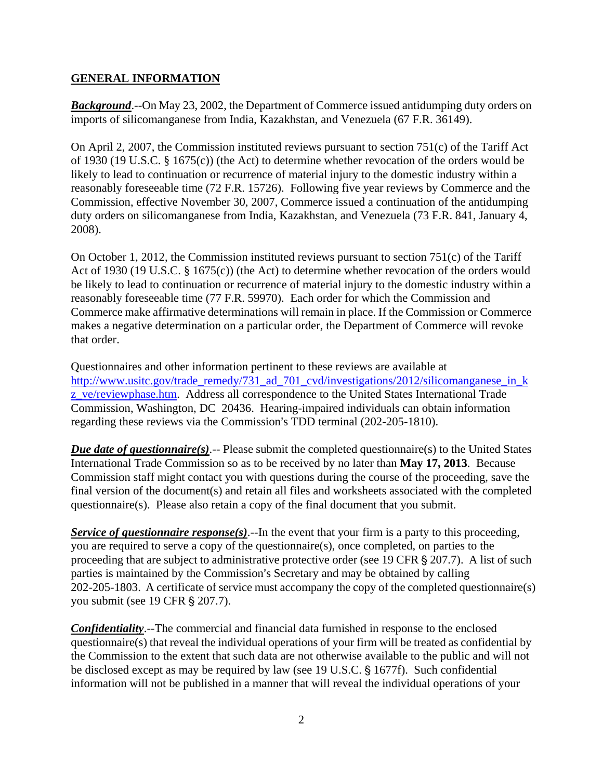#### **GENERAL INFORMATION**

*Background*.--On May 23, 2002, the Department of Commerce issued antidumping duty orders on imports of silicomanganese from India, Kazakhstan, and Venezuela (67 F.R. 36149).

On April 2, 2007, the Commission instituted reviews pursuant to section 751(c) of the Tariff Act of 1930 (19 U.S.C. § 1675(c)) (the Act) to determine whether revocation of the orders would be likely to lead to continuation or recurrence of material injury to the domestic industry within a reasonably foreseeable time (72 F.R. 15726). Following five year reviews by Commerce and the Commission, effective November 30, 2007, Commerce issued a continuation of the antidumping duty orders on silicomanganese from India, Kazakhstan, and Venezuela (73 F.R. 841, January 4, 2008).

On October 1, 2012, the Commission instituted reviews pursuant to section 751(c) of the Tariff Act of 1930 (19 U.S.C. § 1675(c)) (the Act) to determine whether revocation of the orders would be likely to lead to continuation or recurrence of material injury to the domestic industry within a reasonably foreseeable time (77 F.R. 59970). Each order for which the Commission and Commerce make affirmative determinations will remain in place. If the Commission or Commerce makes a negative determination on a particular order, the Department of Commerce will revoke that order.

Questionnaires and other information pertinent to these reviews are available at http://www.usitc.gov/trade\_remedy/731\_ad\_701\_cvd/investigations/2012/silicomanganese\_in\_k z\_ve/reviewphase.htm. Address all correspondence to the United States International Trade Commission, Washington, DC 20436. Hearing-impaired individuals can obtain information regarding these reviews via the Commission's TDD terminal (202-205-1810).

*Due date of questionnaire(s).*-- Please submit the completed questionnaire(s) to the United States International Trade Commission so as to be received by no later than **May 17, 2013**. Because Commission staff might contact you with questions during the course of the proceeding, save the final version of the document(s) and retain all files and worksheets associated with the completed questionnaire(s). Please also retain a copy of the final document that you submit.

*Service of questionnaire response(s)*.--In the event that your firm is a party to this proceeding, you are required to serve a copy of the questionnaire(s), once completed, on parties to the proceeding that are subject to administrative protective order (see 19 CFR  $\S 207.7$ ). A list of such parties is maintained by the Commission's Secretary and may be obtained by calling 202-205-1803. A certificate of service must accompany the copy of the completed questionnaire(s) you submit (see 19 CFR § 207.7).

*Confidentiality*.--The commercial and financial data furnished in response to the enclosed questionnaire(s) that reveal the individual operations of your firm will be treated as confidential by the Commission to the extent that such data are not otherwise available to the public and will not be disclosed except as may be required by law (see 19 U.S.C. § 1677f). Such confidential information will not be published in a manner that will reveal the individual operations of your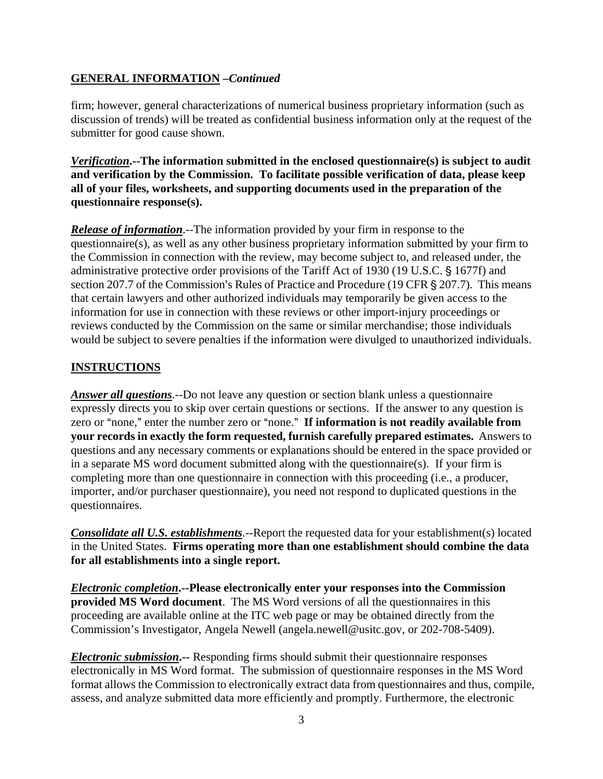#### **GENERAL INFORMATION –***Continued*

firm; however, general characterizations of numerical business proprietary information (such as discussion of trends) will be treated as confidential business information only at the request of the submitter for good cause shown.

*Verification***.--The information submitted in the enclosed questionnaire(s) is subject to audit and verification by the Commission. To facilitate possible verification of data, please keep all of your files, worksheets, and supporting documents used in the preparation of the questionnaire response(s).**

*Release of information*.--The information provided by your firm in response to the questionnaire(s), as well as any other business proprietary information submitted by your firm to the Commission in connection with the review, may become subject to, and released under, the administrative protective order provisions of the Tariff Act of 1930 (19 U.S.C. § 1677f) and section 207.7 of the Commission's Rules of Practice and Procedure (19 CFR § 207.7). This means that certain lawyers and other authorized individuals may temporarily be given access to the information for use in connection with these reviews or other import-injury proceedings or reviews conducted by the Commission on the same or similar merchandise; those individuals would be subject to severe penalties if the information were divulged to unauthorized individuals.

#### **INSTRUCTIONS**

*Answer all questions*.--Do not leave any question or section blank unless a questionnaire expressly directs you to skip over certain questions or sections. If the answer to any question is zero or "none," enter the number zero or "none." If information is not readily available from **your records in exactly the form requested, furnish carefully prepared estimates.** Answers to questions and any necessary comments or explanations should be entered in the space provided or in a separate MS word document submitted along with the questionnaire(s). If your firm is completing more than one questionnaire in connection with this proceeding (i.e., a producer, importer, and/or purchaser questionnaire), you need not respond to duplicated questions in the questionnaires.

*Consolidate all U.S. establishments*.--Report the requested data for your establishment(s) located in the United States. **Firms operating more than one establishment should combine the data for all establishments into a single report.**

*Electronic completion***.--Please electronically enter your responses into the Commission provided MS Word document**. The MS Word versions of all the questionnaires in this proceeding are available online at the ITC web page or may be obtained directly from the Commission's Investigator, Angela Newell (angela.newell@usitc.gov, or 202-708-5409).

*Electronic submission***.--** Responding firms should submit their questionnaire responses electronically in MS Word format. The submission of questionnaire responses in the MS Word format allows the Commission to electronically extract data from questionnaires and thus, compile, assess, and analyze submitted data more efficiently and promptly. Furthermore, the electronic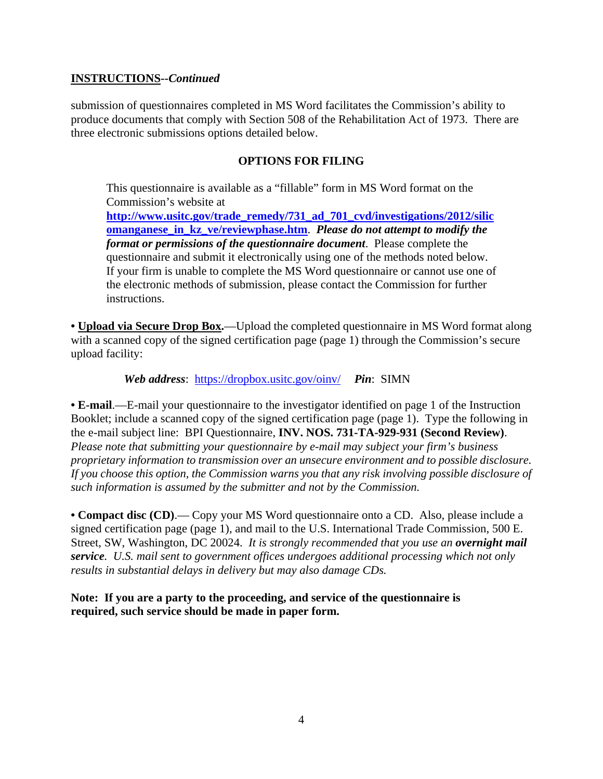#### **INSTRUCTIONS--***Continued*

submission of questionnaires completed in MS Word facilitates the Commission's ability to produce documents that comply with Section 508 of the Rehabilitation Act of 1973. There are three electronic submissions options detailed below.

#### **OPTIONS FOR FILING**

This questionnaire is available as a "fillable" form in MS Word format on the Commission's website at

**http://www.usitc.gov/trade\_remedy/731\_ad\_701\_cvd/investigations/2012/silic omanganese\_in\_kz\_ve/reviewphase.htm**. *Please do not attempt to modify the format or permissions of the questionnaire document*. Please complete the questionnaire and submit it electronically using one of the methods noted below. If your firm is unable to complete the MS Word questionnaire or cannot use one of the electronic methods of submission, please contact the Commission for further instructions.

**• Upload via Secure Drop Box.**—Upload the completed questionnaire in MS Word format along with a scanned copy of the signed certification page (page 1) through the Commission's secure upload facility:

*Web address*: https://dropbox.usitc.gov/oinv/ *Pin*: SIMN

**• E-mail**.—E-mail your questionnaire to the investigator identified on page 1 of the Instruction Booklet; include a scanned copy of the signed certification page (page 1). Type the following in the e-mail subject line: BPI Questionnaire, **INV. NOS. 731-TA-929-931 (Second Review)**. *Please note that submitting your questionnaire by e-mail may subject your firm's business proprietary information to transmission over an unsecure environment and to possible disclosure. If you choose this option, the Commission warns you that any risk involving possible disclosure of such information is assumed by the submitter and not by the Commission.* 

**• Compact disc (CD)**.— Copy your MS Word questionnaire onto a CD. Also, please include a signed certification page (page 1), and mail to the U.S. International Trade Commission, 500 E. Street, SW, Washington, DC 20024. *It is strongly recommended that you use an overnight mail service. U.S. mail sent to government offices undergoes additional processing which not only results in substantial delays in delivery but may also damage CDs.* 

**Note: If you are a party to the proceeding, and service of the questionnaire is required, such service should be made in paper form.**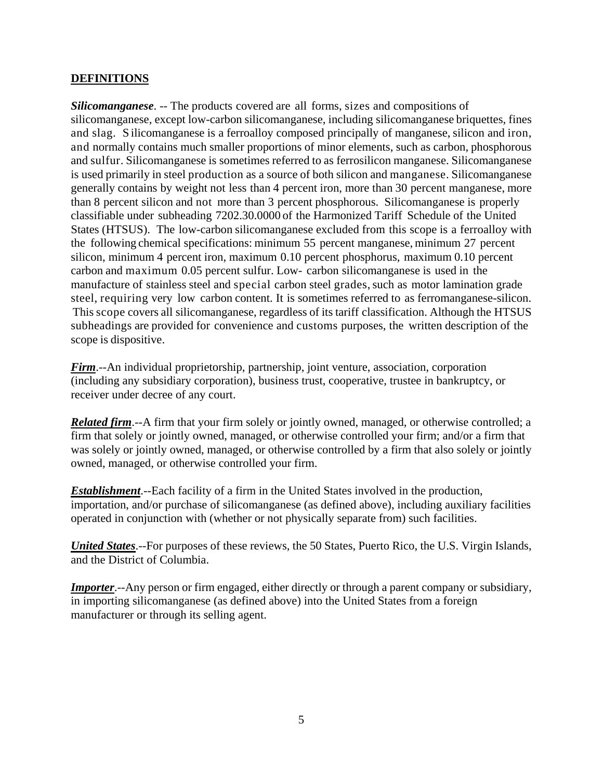#### **DEFINITIONS**

*Silicomanganese*. -- The products covered are all forms, sizes and compositions of silicomanganese, except low-carbon silicomanganese, including silicomanganese briquettes, fines and slag. S ilicomanganese is a ferroalloy composed principally of manganese, silicon and iron, and normally contains much smaller proportions of minor elements, such as carbon, phosphorous and sulfur. Silicomanganese is sometimes referred to as ferrosilicon manganese. Silicomanganese is used primarily in steel production as a source of both silicon and manganese. Silicomanganese generally contains by weight not less than 4 percent iron, more than 30 percent manganese, more than 8 percent silicon and not more than 3 percent phosphorous. Silicomanganese is properly classifiable under subheading 7202.30.0000 of the Harmonized Tariff Schedule of the United States (HTSUS). The low-carbon silicomanganese excluded from this scope is a ferroalloy with the following chemical specifications: minimum 55 percent manganese, minimum 27 percent silicon, minimum 4 percent iron, maximum 0.10 percent phosphorus, maximum 0.10 percent carbon and maximum 0.05 percent sulfur. Low- carbon silicomanganese is used in the manufacture of stainless steel and special carbon steel grades, such as motor lamination grade steel, requiring very low carbon content. It is sometimes referred to as ferromanganese-silicon. This scope covers all silicomanganese, regardless of its tariff classification. Although the HTSUS subheadings are provided for convenience and customs purposes, the written description of the scope is dispositive.

*Firm*.--An individual proprietorship, partnership, joint venture, association, corporation (including any subsidiary corporation), business trust, cooperative, trustee in bankruptcy, or receiver under decree of any court.

*Related firm*.--A firm that your firm solely or jointly owned, managed, or otherwise controlled; a firm that solely or jointly owned, managed, or otherwise controlled your firm; and/or a firm that was solely or jointly owned, managed, or otherwise controlled by a firm that also solely or jointly owned, managed, or otherwise controlled your firm.

*Establishment*.--Each facility of a firm in the United States involved in the production, importation, and/or purchase of silicomanganese (as defined above), including auxiliary facilities operated in conjunction with (whether or not physically separate from) such facilities.

*United States*.--For purposes of these reviews, the 50 States, Puerto Rico, the U.S. Virgin Islands, and the District of Columbia.

*Importer*.--Any person or firm engaged, either directly or through a parent company or subsidiary, in importing silicomanganese (as defined above) into the United States from a foreign manufacturer or through its selling agent.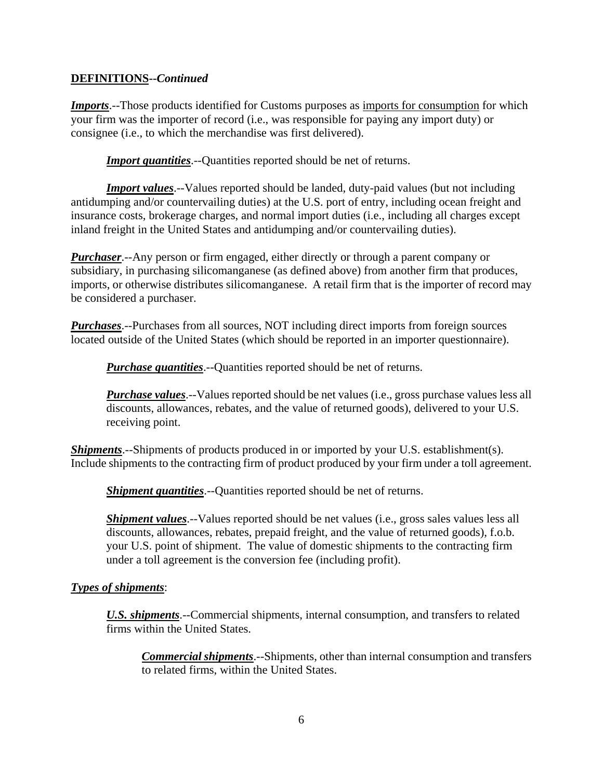#### **DEFINITIONS--***Continued*

*Imports*.--Those products identified for Customs purposes as imports for consumption for which your firm was the importer of record (i.e., was responsible for paying any import duty) or consignee (i.e., to which the merchandise was first delivered).

*Import quantities*.--Quantities reported should be net of returns.

*Import values*.--Values reported should be landed, duty-paid values (but not including antidumping and/or countervailing duties) at the U.S. port of entry, including ocean freight and insurance costs, brokerage charges, and normal import duties (i.e., including all charges except inland freight in the United States and antidumping and/or countervailing duties).

*Purchaser*.--Any person or firm engaged, either directly or through a parent company or subsidiary, in purchasing silicomanganese (as defined above) from another firm that produces, imports, or otherwise distributes silicomanganese. A retail firm that is the importer of record may be considered a purchaser.

*Purchases*.--Purchases from all sources, NOT including direct imports from foreign sources located outside of the United States (which should be reported in an importer questionnaire).

*Purchase quantities*.--Quantities reported should be net of returns.

*Purchase values*.--Values reported should be net values (i.e., gross purchase values less all discounts, allowances, rebates, and the value of returned goods), delivered to your U.S. receiving point.

*Shipments*.--Shipments of products produced in or imported by your U.S. establishment(s). Include shipments to the contracting firm of product produced by your firm under a toll agreement.

*Shipment quantities*.--Quantities reported should be net of returns.

*Shipment values*.--Values reported should be net values (i.e., gross sales values less all discounts, allowances, rebates, prepaid freight, and the value of returned goods), f.o.b. your U.S. point of shipment. The value of domestic shipments to the contracting firm under a toll agreement is the conversion fee (including profit).

#### *Types of shipments*:

*U.S. shipments*.--Commercial shipments, internal consumption, and transfers to related firms within the United States.

*Commercial shipments*.--Shipments, other than internal consumption and transfers to related firms, within the United States.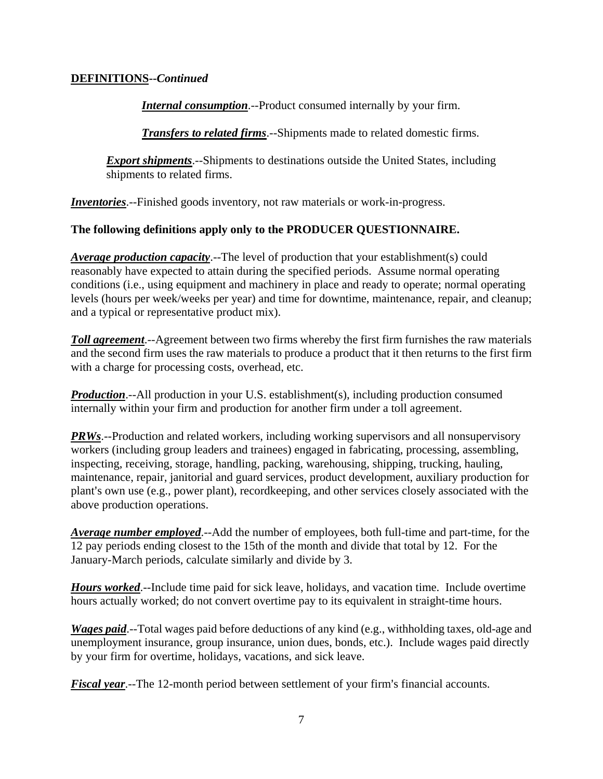#### **DEFINITIONS--***Continued*

*Internal consumption*.--Product consumed internally by your firm.

*Transfers to related firms*.--Shipments made to related domestic firms.

*Export shipments*.--Shipments to destinations outside the United States, including shipments to related firms.

*Inventories*.--Finished goods inventory, not raw materials or work-in-progress.

#### **The following definitions apply only to the PRODUCER QUESTIONNAIRE.**

*Average production capacity*.--The level of production that your establishment(s) could reasonably have expected to attain during the specified periods. Assume normal operating conditions (i.e., using equipment and machinery in place and ready to operate; normal operating levels (hours per week/weeks per year) and time for downtime, maintenance, repair, and cleanup; and a typical or representative product mix).

*Toll agreement*.--Agreement between two firms whereby the first firm furnishes the raw materials and the second firm uses the raw materials to produce a product that it then returns to the first firm with a charge for processing costs, overhead, etc.

*Production*.--All production in your U.S. establishment(s), including production consumed internally within your firm and production for another firm under a toll agreement.

*PRWs*.--Production and related workers, including working supervisors and all nonsupervisory workers (including group leaders and trainees) engaged in fabricating, processing, assembling, inspecting, receiving, storage, handling, packing, warehousing, shipping, trucking, hauling, maintenance, repair, janitorial and guard services, product development, auxiliary production for plant's own use (e.g., power plant), recordkeeping, and other services closely associated with the above production operations.

*Average number employed*.--Add the number of employees, both full-time and part-time, for the 12 pay periods ending closest to the 15th of the month and divide that total by 12. For the January-March periods, calculate similarly and divide by 3.

*Hours worked*.--Include time paid for sick leave, holidays, and vacation time. Include overtime hours actually worked; do not convert overtime pay to its equivalent in straight-time hours.

*Wages paid*.--Total wages paid before deductions of any kind (e.g., withholding taxes, old-age and unemployment insurance, group insurance, union dues, bonds, etc.). Include wages paid directly by your firm for overtime, holidays, vacations, and sick leave.

*Fiscal year.*--The 12-month period between settlement of your firm's financial accounts.